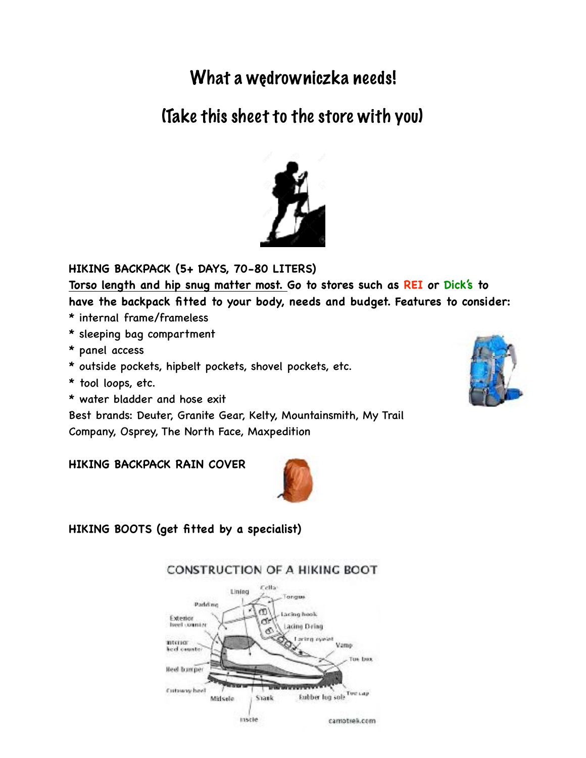# What a wędrowniczka needs!

# (Take this sheet to the store with you)



**HIKING BACKPACK (5+ DAYS, 70-80 LITERS)**

**Torso length and hip snug matter most. Go to stores such as REI or Dick's to have the backpack fitted to your body, needs and budget. Features to consider:**

- \* internal frame/frameless
- \* sleeping bag compartment
- \* panel access
- \* outside pockets, hipbelt pockets, shovel pockets, etc.
- \* tool loops, etc.
- \* water bladder and hose exit

Best brands: Deuter, Granite Gear, Kelty, Mountainsmith, My Trail Company, Osprey, The North Face, Maxpedition

**HIKING BACKPACK RAIN COVER** 



**HIKING BOOTS (get fitted by a specialist)**



## **CONSTRUCTION OF A HIKING BOOT**

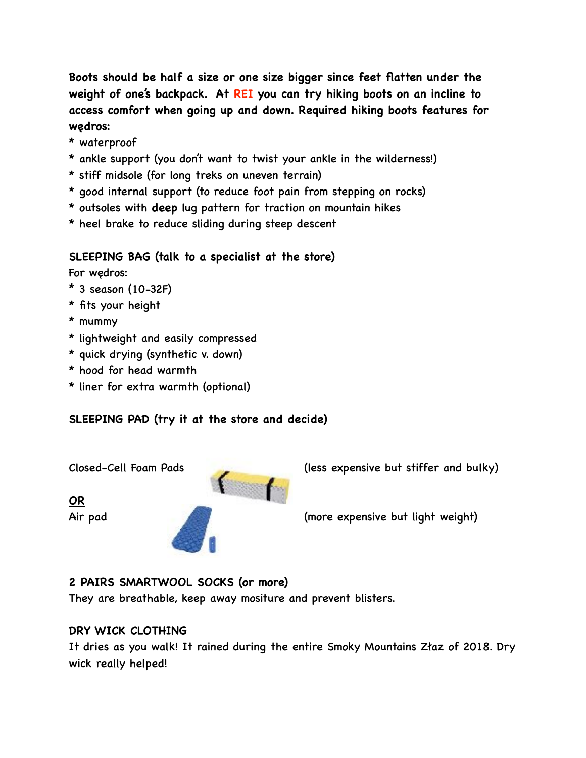**Boots should be half a size or one size bigger since feet flatten under the weight of one's backpack. At REI you can try hiking boots on an incline to access comfort when going up and down. Required hiking boots features for wędros:**

- \* waterproof
- \* ankle support (you don't want to twist your ankle in the wilderness!)
- \* stiff midsole (for long treks on uneven terrain)
- \* good internal support (to reduce foot pain from stepping on rocks)
- \* outsoles with **deep** lug pattern for traction on mountain hikes
- \* heel brake to reduce sliding during steep descent

#### **SLEEPING BAG (talk to a specialist at the store)**

For wędros:

- $*$  3 season (10-32F)
- \* fits your height
- \* mummy
- \* lightweight and easily compressed
- \* quick drying (synthetic v. down)
- \* hood for head warmth
- \* liner for extra warmth (optional)

# **SLEEPING PAD (try it at the store and decide)**

**OR**



Air pad (more expensive but light weight)

#### **2 PAIRS SMARTWOOL SOCKS (or more)**

They are breathable, keep away mositure and prevent blisters.

#### **DRY WICK CLOTHING**

It dries as you walk! It rained during the entire Smoky Mountains Złaz of 2018. Dry wick really helped!